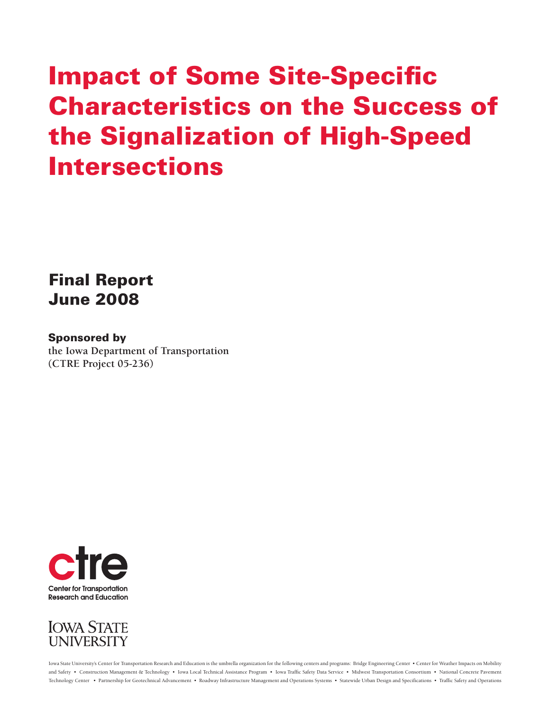# **Impact of Some Site-Specific Characteristics on the Success of the Signalization of High-Speed Intersections**

### **Final Report June 2008**

#### **Sponsored by**

**the Iowa Department of Transportation (CTRE Project 05-236)**





Iowa State University's Center for Transportation Research and Education is the umbrella organization for the following centers and programs: Bridge Engineering Center • Center for Weather Impacts on Mobility and Safety • Construction Management & Technology • Iowa Local Technical Assistance Program • Iowa Traffi c Safety Data Service • Midwest Transportation Consortium • National Concrete Pavement Technology Center • Partnership for Geotechnical Advancement • Roadway Infrastructure Management and Operations \$ystems • Statewide Urban Design and Specifications • Traffic Safety and Operations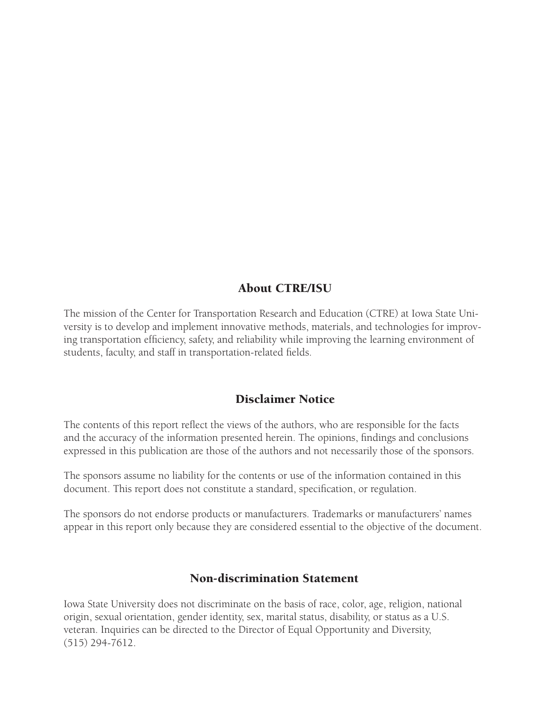#### About CTRE/ISU

The mission of the Center for Transportation Research and Education (CTRE) at Iowa State University is to develop and implement innovative methods, materials, and technologies for improving transportation efficiency, safety, and reliability while improving the learning environment of students, faculty, and staff in transportation-related fields.

#### Disclaimer Notice

The contents of this report reflect the views of the authors, who are responsible for the facts and the accuracy of the information presented herein. The opinions, findings and conclusions expressed in this publication are those of the authors and not necessarily those of the sponsors.

The sponsors assume no liability for the contents or use of the information contained in this document. This report does not constitute a standard, specification, or regulation.

The sponsors do not endorse products or manufacturers. Trademarks or manufacturers' names appear in this report only because they are considered essential to the objective of the document.

#### Non-discrimination Statement

Iowa State University does not discriminate on the basis of race, color, age, religion, national origin, sexual orientation, gender identity, sex, marital status, disability, or status as a U.S. veteran. Inquiries can be directed to the Director of Equal Opportunity and Diversity, (515) 294-7612.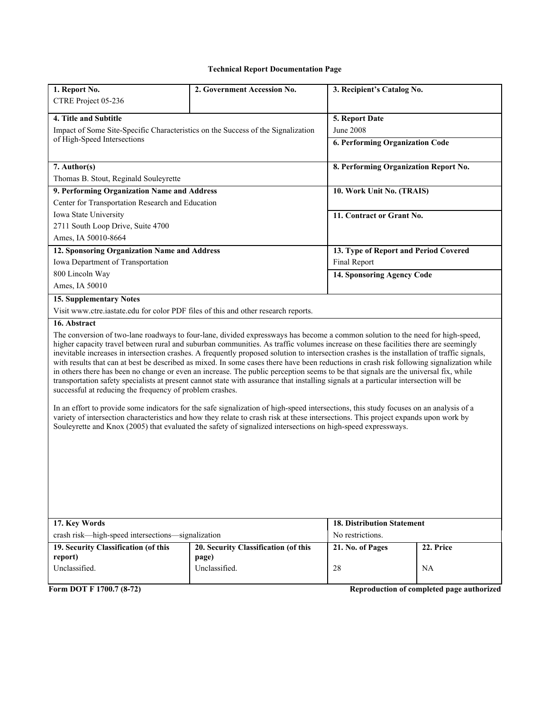#### **Technical Report Documentation Page**

| 1. Report No.                                                                                                                                                                                                                                                                                                                                                                                                                                                                                                                                                                                                                                                                                                                                                                                                                                                                                                                                                                                                                                                                                                                                                                                                                                                                                                  | 2. Government Accession No.          | 3. Recipient's Catalog No.            |           |  |
|----------------------------------------------------------------------------------------------------------------------------------------------------------------------------------------------------------------------------------------------------------------------------------------------------------------------------------------------------------------------------------------------------------------------------------------------------------------------------------------------------------------------------------------------------------------------------------------------------------------------------------------------------------------------------------------------------------------------------------------------------------------------------------------------------------------------------------------------------------------------------------------------------------------------------------------------------------------------------------------------------------------------------------------------------------------------------------------------------------------------------------------------------------------------------------------------------------------------------------------------------------------------------------------------------------------|--------------------------------------|---------------------------------------|-----------|--|
| CTRE Project 05-236                                                                                                                                                                                                                                                                                                                                                                                                                                                                                                                                                                                                                                                                                                                                                                                                                                                                                                                                                                                                                                                                                                                                                                                                                                                                                            |                                      |                                       |           |  |
| 4. Title and Subtitle                                                                                                                                                                                                                                                                                                                                                                                                                                                                                                                                                                                                                                                                                                                                                                                                                                                                                                                                                                                                                                                                                                                                                                                                                                                                                          |                                      | 5. Report Date                        |           |  |
| Impact of Some Site-Specific Characteristics on the Success of the Signalization                                                                                                                                                                                                                                                                                                                                                                                                                                                                                                                                                                                                                                                                                                                                                                                                                                                                                                                                                                                                                                                                                                                                                                                                                               |                                      | <b>June 2008</b>                      |           |  |
| of High-Speed Intersections                                                                                                                                                                                                                                                                                                                                                                                                                                                                                                                                                                                                                                                                                                                                                                                                                                                                                                                                                                                                                                                                                                                                                                                                                                                                                    |                                      | 6. Performing Organization Code       |           |  |
|                                                                                                                                                                                                                                                                                                                                                                                                                                                                                                                                                                                                                                                                                                                                                                                                                                                                                                                                                                                                                                                                                                                                                                                                                                                                                                                |                                      |                                       |           |  |
| 7. Author(s)                                                                                                                                                                                                                                                                                                                                                                                                                                                                                                                                                                                                                                                                                                                                                                                                                                                                                                                                                                                                                                                                                                                                                                                                                                                                                                   |                                      | 8. Performing Organization Report No. |           |  |
| Thomas B. Stout, Reginald Souleyrette                                                                                                                                                                                                                                                                                                                                                                                                                                                                                                                                                                                                                                                                                                                                                                                                                                                                                                                                                                                                                                                                                                                                                                                                                                                                          |                                      |                                       |           |  |
| 9. Performing Organization Name and Address                                                                                                                                                                                                                                                                                                                                                                                                                                                                                                                                                                                                                                                                                                                                                                                                                                                                                                                                                                                                                                                                                                                                                                                                                                                                    |                                      | 10. Work Unit No. (TRAIS)             |           |  |
| Center for Transportation Research and Education                                                                                                                                                                                                                                                                                                                                                                                                                                                                                                                                                                                                                                                                                                                                                                                                                                                                                                                                                                                                                                                                                                                                                                                                                                                               |                                      |                                       |           |  |
| Iowa State University                                                                                                                                                                                                                                                                                                                                                                                                                                                                                                                                                                                                                                                                                                                                                                                                                                                                                                                                                                                                                                                                                                                                                                                                                                                                                          |                                      | 11. Contract or Grant No.             |           |  |
| 2711 South Loop Drive, Suite 4700                                                                                                                                                                                                                                                                                                                                                                                                                                                                                                                                                                                                                                                                                                                                                                                                                                                                                                                                                                                                                                                                                                                                                                                                                                                                              |                                      |                                       |           |  |
| Ames, IA 50010-8664                                                                                                                                                                                                                                                                                                                                                                                                                                                                                                                                                                                                                                                                                                                                                                                                                                                                                                                                                                                                                                                                                                                                                                                                                                                                                            |                                      |                                       |           |  |
| 12. Sponsoring Organization Name and Address                                                                                                                                                                                                                                                                                                                                                                                                                                                                                                                                                                                                                                                                                                                                                                                                                                                                                                                                                                                                                                                                                                                                                                                                                                                                   |                                      | 13. Type of Report and Period Covered |           |  |
| Iowa Department of Transportation                                                                                                                                                                                                                                                                                                                                                                                                                                                                                                                                                                                                                                                                                                                                                                                                                                                                                                                                                                                                                                                                                                                                                                                                                                                                              |                                      | Final Report                          |           |  |
| 800 Lincoln Way                                                                                                                                                                                                                                                                                                                                                                                                                                                                                                                                                                                                                                                                                                                                                                                                                                                                                                                                                                                                                                                                                                                                                                                                                                                                                                |                                      | 14. Sponsoring Agency Code            |           |  |
| Ames, IA 50010                                                                                                                                                                                                                                                                                                                                                                                                                                                                                                                                                                                                                                                                                                                                                                                                                                                                                                                                                                                                                                                                                                                                                                                                                                                                                                 |                                      |                                       |           |  |
| <b>15. Supplementary Notes</b>                                                                                                                                                                                                                                                                                                                                                                                                                                                                                                                                                                                                                                                                                                                                                                                                                                                                                                                                                                                                                                                                                                                                                                                                                                                                                 |                                      |                                       |           |  |
| Visit www.ctre.iastate.edu for color PDF files of this and other research reports.                                                                                                                                                                                                                                                                                                                                                                                                                                                                                                                                                                                                                                                                                                                                                                                                                                                                                                                                                                                                                                                                                                                                                                                                                             |                                      |                                       |           |  |
| 16. Abstract                                                                                                                                                                                                                                                                                                                                                                                                                                                                                                                                                                                                                                                                                                                                                                                                                                                                                                                                                                                                                                                                                                                                                                                                                                                                                                   |                                      |                                       |           |  |
| The conversion of two-lane roadways to four-lane, divided expressways has become a common solution to the need for high-speed,<br>higher capacity travel between rural and suburban communities. As traffic volumes increase on these facilities there are seemingly<br>inevitable increases in intersection crashes. A frequently proposed solution to intersection crashes is the installation of traffic signals,<br>with results that can at best be described as mixed. In some cases there have been reductions in crash risk following signalization while<br>in others there has been no change or even an increase. The public perception seems to be that signals are the universal fix, while<br>transportation safety specialists at present cannot state with assurance that installing signals at a particular intersection will be<br>successful at reducing the frequency of problem crashes.<br>In an effort to provide some indicators for the safe signalization of high-speed intersections, this study focuses on an analysis of a<br>variety of intersection characteristics and how they relate to crash risk at these intersections. This project expands upon work by<br>Souleyrette and Knox (2005) that evaluated the safety of signalized intersections on high-speed expressways. |                                      |                                       |           |  |
| 17. Key Words<br><b>18. Distribution Statement</b>                                                                                                                                                                                                                                                                                                                                                                                                                                                                                                                                                                                                                                                                                                                                                                                                                                                                                                                                                                                                                                                                                                                                                                                                                                                             |                                      |                                       |           |  |
| crash risk—high-speed intersections—signalization                                                                                                                                                                                                                                                                                                                                                                                                                                                                                                                                                                                                                                                                                                                                                                                                                                                                                                                                                                                                                                                                                                                                                                                                                                                              |                                      | No restrictions.                      |           |  |
| 19. Security Classification (of this                                                                                                                                                                                                                                                                                                                                                                                                                                                                                                                                                                                                                                                                                                                                                                                                                                                                                                                                                                                                                                                                                                                                                                                                                                                                           | 20. Security Classification (of this | 21. No. of Pages                      | 22. Price |  |
| report)<br>Unclassified.                                                                                                                                                                                                                                                                                                                                                                                                                                                                                                                                                                                                                                                                                                                                                                                                                                                                                                                                                                                                                                                                                                                                                                                                                                                                                       | page)<br>Unclassified.               |                                       |           |  |
|                                                                                                                                                                                                                                                                                                                                                                                                                                                                                                                                                                                                                                                                                                                                                                                                                                                                                                                                                                                                                                                                                                                                                                                                                                                                                                                |                                      | 28                                    | NA.       |  |

**Form DOT F 1700.7 (8-72)** Reproduction of completed page authorized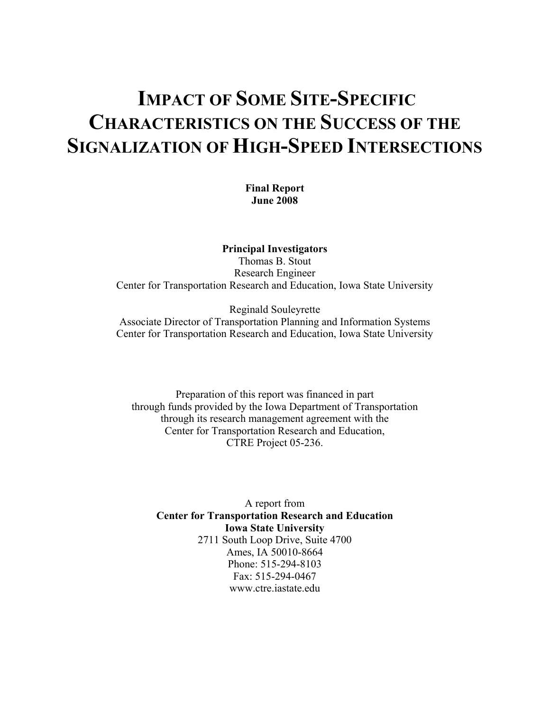## **IMPACT OF SOME SITE-SPECIFIC CHARACTERISTICS ON THE SUCCESS OF THE SIGNALIZATION OF HIGH-SPEED INTERSECTIONS**

**Final Report June 2008**

**Principal Investigators**  Thomas B. Stout Research Engineer Center for Transportation Research and Education, Iowa State University

Reginald Souleyrette Associate Director of Transportation Planning and Information Systems Center for Transportation Research and Education, Iowa State University

Preparation of this report was financed in part through funds provided by the Iowa Department of Transportation through its research management agreement with the Center for Transportation Research and Education, CTRE Project 05-236.

A report from **Center for Transportation Research and Education Iowa State University**  2711 South Loop Drive, Suite 4700 Ames, IA 50010-8664 Phone: 515-294-8103 Fax: 515-294-0467 www.ctre.iastate.edu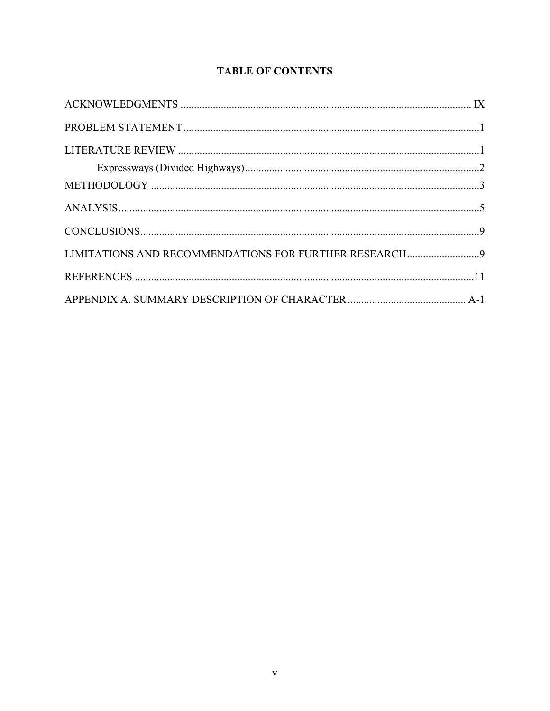#### **TABLE OF CONTENTS**

| LIMITATIONS AND RECOMMENDATIONS FOR FURTHER RESEARCH9 |  |
|-------------------------------------------------------|--|
|                                                       |  |
|                                                       |  |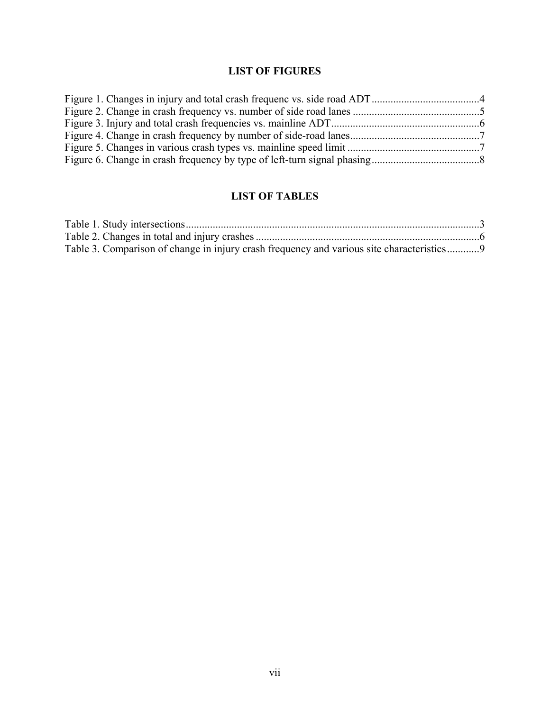#### **LIST OF FIGURES**

#### **LIST OF TABLES**

| Table 3. Comparison of change in injury crash frequency and various site characteristics9 |  |
|-------------------------------------------------------------------------------------------|--|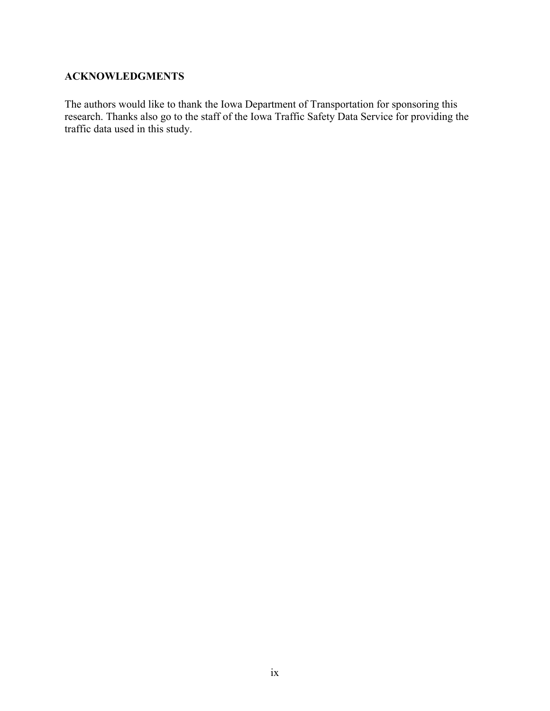#### <span id="page-10-0"></span>**ACKNOWLEDGMENTS**

The authors would like to thank the Iowa Department of Transportation for sponsoring this research. Thanks also go to the staff of the Iowa Traffic Safety Data Service for providing the traffic data used in this study.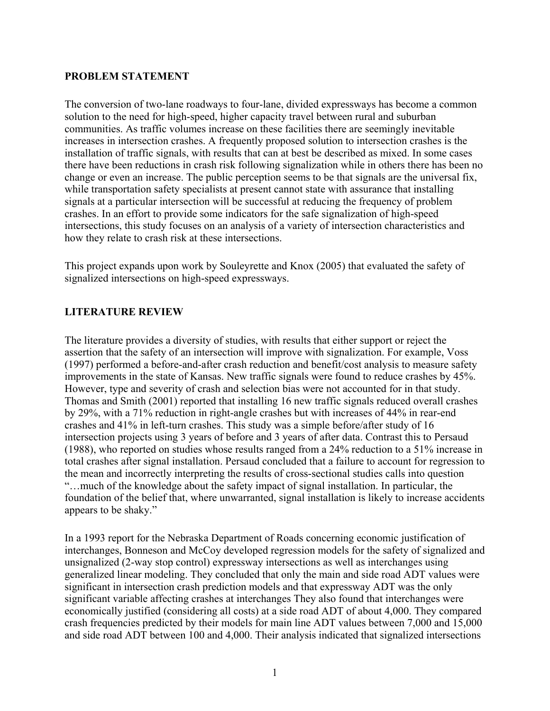#### <span id="page-12-0"></span>**PROBLEM STATEMENT**

The conversion of two-lane roadways to four-lane, divided expressways has become a common solution to the need for high-speed, higher capacity travel between rural and suburban communities. As traffic volumes increase on these facilities there are seemingly inevitable increases in intersection crashes. A frequently proposed solution to intersection crashes is the installation of traffic signals, with results that can at best be described as mixed. In some cases there have been reductions in crash risk following signalization while in others there has been no change or even an increase. The public perception seems to be that signals are the universal fix, while transportation safety specialists at present cannot state with assurance that installing signals at a particular intersection will be successful at reducing the frequency of problem crashes. In an effort to provide some indicators for the safe signalization of high-speed intersections, this study focuses on an analysis of a variety of intersection characteristics and how they relate to crash risk at these intersections.

This project expands upon work by Souleyrette and Knox (2005) that evaluated the safety of signalized intersections on high-speed expressways.

#### **LITERATURE REVIEW**

The literature provides a diversity of studies, with results that either support or reject the assertion that the safety of an intersection will improve with signalization. For example, Voss (1997) performed a before-and-after crash reduction and benefit/cost analysis to measure safety improvements in the state of Kansas. New traffic signals were found to reduce crashes by 45%. However, type and severity of crash and selection bias were not accounted for in that study. Thomas and Smith (2001) reported that installing 16 new traffic signals reduced overall crashes by 29%, with a 71% reduction in right-angle crashes but with increases of 44% in rear-end crashes and 41% in left-turn crashes. This study was a simple before/after study of 16 intersection projects using 3 years of before and 3 years of after data. Contrast this to Persaud (1988), who reported on studies whose results ranged from a 24% reduction to a 51% increase in total crashes after signal installation. Persaud concluded that a failure to account for regression to the mean and incorrectly interpreting the results of cross-sectional studies calls into question "…much of the knowledge about the safety impact of signal installation. In particular, the foundation of the belief that, where unwarranted, signal installation is likely to increase accidents appears to be shaky."

In a 1993 report for the Nebraska Department of Roads concerning economic justification of interchanges, Bonneson and McCoy developed regression models for the safety of signalized and unsignalized (2-way stop control) expressway intersections as well as interchanges using generalized linear modeling. They concluded that only the main and side road ADT values were significant in intersection crash prediction models and that expressway ADT was the only significant variable affecting crashes at interchanges They also found that interchanges were economically justified (considering all costs) at a side road ADT of about 4,000. They compared crash frequencies predicted by their models for main line ADT values between 7,000 and 15,000 and side road ADT between 100 and 4,000. Their analysis indicated that signalized intersections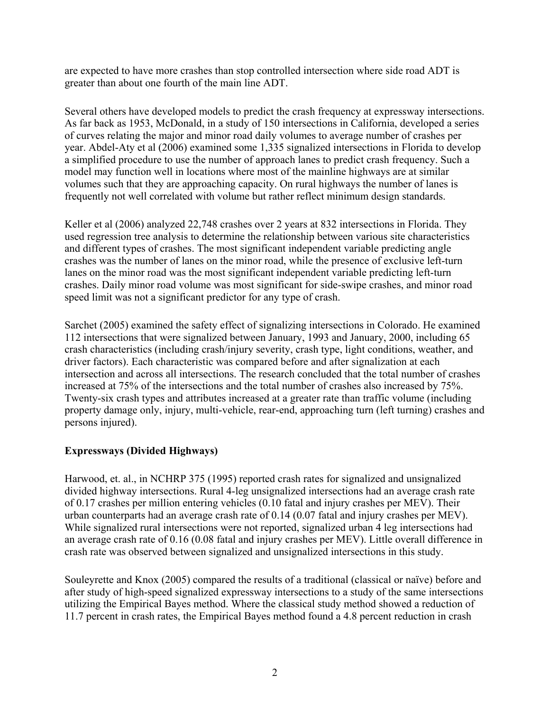<span id="page-13-0"></span>are expected to have more crashes than stop controlled intersection where side road ADT is greater than about one fourth of the main line ADT.

Several others have developed models to predict the crash frequency at expressway intersections. As far back as 1953, McDonald, in a study of 150 intersections in California, developed a series of curves relating the major and minor road daily volumes to average number of crashes per year. Abdel-Aty et al (2006) examined some 1,335 signalized intersections in Florida to develop a simplified procedure to use the number of approach lanes to predict crash frequency. Such a model may function well in locations where most of the mainline highways are at similar volumes such that they are approaching capacity. On rural highways the number of lanes is frequently not well correlated with volume but rather reflect minimum design standards.

Keller et al (2006) analyzed 22,748 crashes over 2 years at 832 intersections in Florida. They used regression tree analysis to determine the relationship between various site characteristics and different types of crashes. The most significant independent variable predicting angle crashes was the number of lanes on the minor road, while the presence of exclusive left-turn lanes on the minor road was the most significant independent variable predicting left-turn crashes. Daily minor road volume was most significant for side-swipe crashes, and minor road speed limit was not a significant predictor for any type of crash.

Sarchet (2005) examined the safety effect of signalizing intersections in Colorado. He examined 112 intersections that were signalized between January, 1993 and January, 2000, including 65 crash characteristics (including crash/injury severity, crash type, light conditions, weather, and driver factors). Each characteristic was compared before and after signalization at each intersection and across all intersections. The research concluded that the total number of crashes increased at 75% of the intersections and the total number of crashes also increased by 75%. Twenty-six crash types and attributes increased at a greater rate than traffic volume (including property damage only, injury, multi-vehicle, rear-end, approaching turn (left turning) crashes and persons injured).

#### **Expressways (Divided Highways)**

Harwood, et. al., in NCHRP 375 (1995) reported crash rates for signalized and unsignalized divided highway intersections. Rural 4-leg unsignalized intersections had an average crash rate of 0.17 crashes per million entering vehicles (0.10 fatal and injury crashes per MEV). Their urban counterparts had an average crash rate of 0.14 (0.07 fatal and injury crashes per MEV). While signalized rural intersections were not reported, signalized urban 4 leg intersections had an average crash rate of 0.16 (0.08 fatal and injury crashes per MEV). Little overall difference in crash rate was observed between signalized and unsignalized intersections in this study.

Souleyrette and Knox (2005) compared the results of a traditional (classical or naïve) before and after study of high-speed signalized expressway intersections to a study of the same intersections utilizing the Empirical Bayes method. Where the classical study method showed a reduction of 11.7 percent in crash rates, the Empirical Bayes method found a 4.8 percent reduction in crash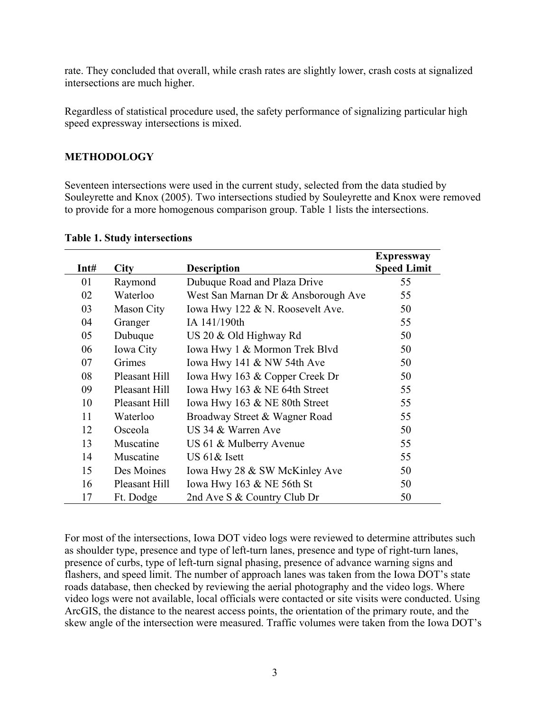<span id="page-14-0"></span>rate. They concluded that overall, while crash rates are slightly lower, crash costs at signalized intersections are much higher.

Regardless of statistical procedure used, the safety performance of signalizing particular high speed expressway intersections is mixed.

#### **METHODOLOGY**

Seventeen intersections were used in the current study, selected from the data studied by Souleyrette and Knox (2005). Two intersections studied by Souleyrette and Knox were removed to provide for a more homogenous comparison group. Table 1 lists the intersections.

|      |                   |                                     | <b>Expressway</b>  |
|------|-------------------|-------------------------------------|--------------------|
| Int# | <b>City</b>       | <b>Description</b>                  | <b>Speed Limit</b> |
| 01   | Raymond           | Dubuque Road and Plaza Drive        | 55                 |
| 02   | Waterloo          | West San Marnan Dr & Ansborough Ave | 55                 |
| 03   | <b>Mason City</b> | Iowa Hwy 122 & N. Roosevelt Ave.    | 50                 |
| 04   | Granger           | IA 141/190th                        | 55                 |
| 05   | Dubuque           | US 20 & Old Highway Rd              | 50                 |
| 06   | Iowa City         | Iowa Hwy 1 & Mormon Trek Blvd       | 50                 |
| 07   | Grimes            | Iowa Hwy 141 $&$ NW 54th Ave        | 50                 |
| 08   | Pleasant Hill     | Iowa Hwy 163 & Copper Creek Dr      | 50                 |
| 09   | Pleasant Hill     | Iowa Hwy 163 & NE 64th Street       | 55                 |
| 10   | Pleasant Hill     | Iowa Hwy 163 & NE 80th Street       | 55                 |
| 11   | Waterloo          | Broadway Street & Wagner Road       | 55                 |
| 12   | Osceola           | US 34 & Warren Ave                  | 50                 |
| 13   | Muscatine         | US 61 & Mulberry Avenue             | 55                 |
| 14   | Muscatine         | US 61& Isett                        | 55                 |
| 15   | Des Moines        | Iowa Hwy 28 & SW McKinley Ave       | 50                 |
| 16   | Pleasant Hill     | Iowa Hwy $163 \& NE 56$ th St       | 50                 |
| 17   | Ft. Dodge         | 2nd Ave S & Country Club Dr         | 50                 |

#### **Table 1. Study intersections**

For most of the intersections, Iowa DOT video logs were reviewed to determine attributes such as shoulder type, presence and type of left-turn lanes, presence and type of right-turn lanes, presence of curbs, type of left-turn signal phasing, presence of advance warning signs and flashers, and speed limit. The number of approach lanes was taken from the Iowa DOT's state roads database, then checked by reviewing the aerial photography and the video logs. Where video logs were not available, local officials were contacted or site visits were conducted. Using ArcGIS, the distance to the nearest access points, the orientation of the primary route, and the skew angle of the intersection were measured. Traffic volumes were taken from the Iowa DOT's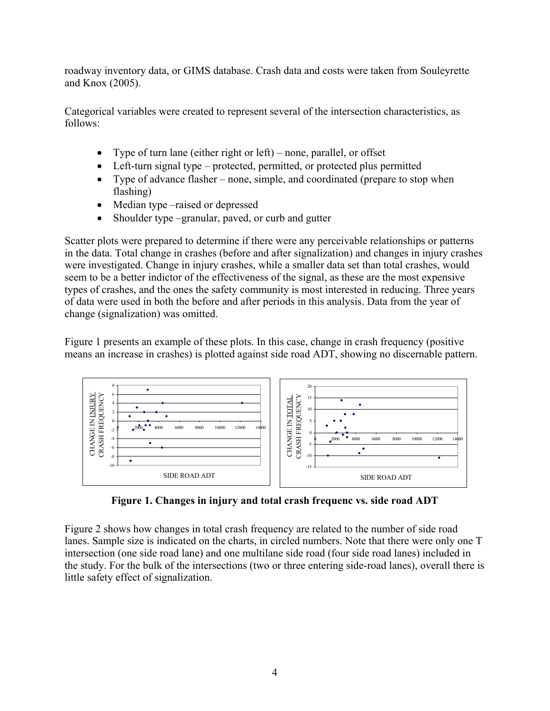<span id="page-15-0"></span>roadway inventory data, or GIMS database. Crash data and costs were taken from Souleyrette and Knox (2005).

Categorical variables were created to represent several of the intersection characteristics, as follows:

- Type of turn lane (either right or left) none, parallel, or offset
- Left-turn signal type protected, permitted, or protected plus permitted
- Type of advance flasher none, simple, and coordinated (prepare to stop when flashing)
- Median type –raised or depressed
- Shoulder type –granular, paved, or curb and gutter

Scatter plots were prepared to determine if there were any perceivable relationships or patterns in the data. Total change in crashes (before and after signalization) and changes in injury crashes were investigated. Change in injury crashes, while a smaller data set than total crashes, would seem to be a better indictor of the effectiveness of the signal, as these are the most expensive types of crashes, and the ones the safety community is most interested in reducing. Three years of data were used in both the before and after periods in this analysis. Data from the year of change (signalization) was omitted.

Figure 1 presents an example of these plots. In this case, change in crash frequency (positive means an increase in crashes) is plotted against side road ADT, showing no discernable pattern.



**Figure 1. Changes in injury and total crash frequenc vs. side road ADT** 

Figure 2 shows how changes in total crash frequency are related to the number of side road lanes. Sample size is indicated on the charts, in circled numbers. Note that there were only one T intersection (one side road lane) and one multilane side road (four side road lanes) included in the study. For the bulk of the intersections (two or three entering side-road lanes), overall there is little safety effect of signalization.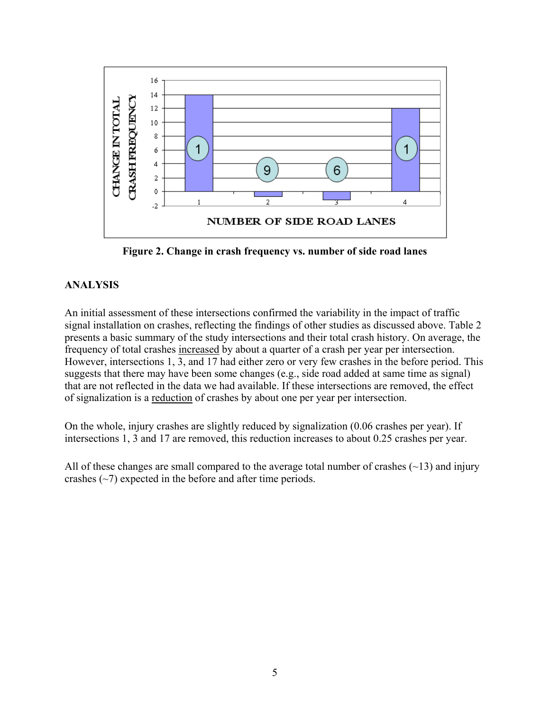<span id="page-16-0"></span>

**Figure 2. Change in crash frequency vs. number of side road lanes** 

#### **ANALYSIS**

An initial assessment of these intersections confirmed the variability in the impact of traffic signal installation on crashes, reflecting the findings of other studies as discussed above. Table 2 presents a basic summary of the study intersections and their total crash history. On average, the frequency of total crashes increased by about a quarter of a crash per year per intersection. However, intersections 1, 3, and 17 had either zero or very few crashes in the before period. This suggests that there may have been some changes (e.g., side road added at same time as signal) that are not reflected in the data we had available. If these intersections are removed, the effect of signalization is a reduction of crashes by about one per year per intersection.

On the whole, injury crashes are slightly reduced by signalization (0.06 crashes per year). If intersections 1, 3 and 17 are removed, this reduction increases to about 0.25 crashes per year.

All of these changes are small compared to the average total number of crashes  $(\sim 13)$  and injury crashes  $(\sim)$  expected in the before and after time periods.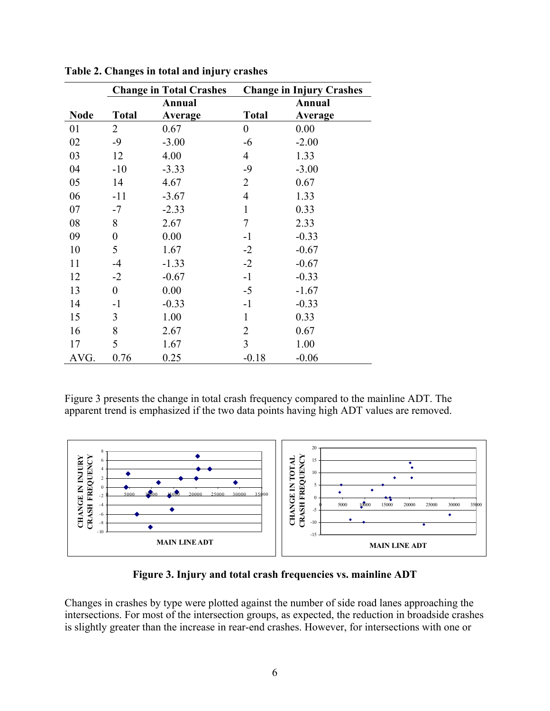|             | <b>Change in Total Crashes</b> |         | <b>Change in Injury Crashes</b> |         |  |
|-------------|--------------------------------|---------|---------------------------------|---------|--|
|             |                                | Annual  |                                 | Annual  |  |
| <b>Node</b> | <b>Total</b>                   | Average | <b>Total</b>                    | Average |  |
| 01          | 2                              | 0.67    | $\boldsymbol{0}$                | 0.00    |  |
| 02          | $-9$                           | $-3.00$ | $-6$                            | $-2.00$ |  |
| 03          | 12                             | 4.00    | $\overline{4}$                  | 1.33    |  |
| 04          | $-10$                          | $-3.33$ | $-9$                            | $-3.00$ |  |
| 05          | 14                             | 4.67    | $\overline{2}$                  | 0.67    |  |
| 06          | $-11$                          | $-3.67$ | $\overline{4}$                  | 1.33    |  |
| 07          | $-7$                           | $-2.33$ | $\mathbf{1}$                    | 0.33    |  |
| 08          | 8                              | 2.67    | $\tau$                          | 2.33    |  |
| 09          | $\boldsymbol{0}$               | 0.00    | $-1$                            | $-0.33$ |  |
| 10          | 5                              | 1.67    | $-2$                            | $-0.67$ |  |
| 11          | $-4$                           | $-1.33$ | $-2$                            | $-0.67$ |  |
| 12          | $-2$                           | $-0.67$ | $-1$                            | $-0.33$ |  |
| 13          | $\boldsymbol{0}$               | 0.00    | $-5$                            | $-1.67$ |  |
| 14          | $-1$                           | $-0.33$ | $-1$                            | $-0.33$ |  |
| 15          | 3                              | 1.00    | $\mathbf{1}$                    | 0.33    |  |
| 16          | 8                              | 2.67    | $\overline{2}$                  | 0.67    |  |
| 17          | 5                              | 1.67    | 3                               | 1.00    |  |
| AVG.        | 0.76                           | 0.25    | $-0.18$                         | $-0.06$ |  |

<span id="page-17-0"></span>**Table 2. Changes in total and injury crashes** 

Figure 3 presents the change in total crash frequency compared to the mainline ADT. The apparent trend is emphasized if the two data points having high ADT values are removed.



**Figure 3. Injury and total crash frequencies vs. mainline ADT** 

Changes in crashes by type were plotted against the number of side road lanes approaching the intersections. For most of the intersection groups, as expected, the reduction in broadside crashes is slightly greater than the increase in rear-end crashes. However, for intersections with one or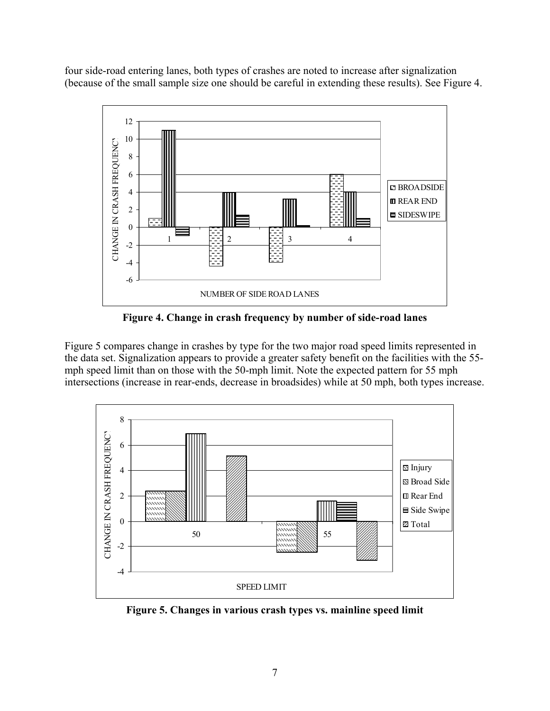<span id="page-18-0"></span>four side-road entering lanes, both types of crashes are noted to increase after signalization (because of the small sample size one should be careful in extending these results). See Figure 4.



**Figure 4. Change in crash frequency by number of side-road lanes** 

Figure 5 compares change in crashes by type for the two major road speed limits represented in the data set. Signalization appears to provide a greater safety benefit on the facilities with the 55 mph speed limit than on those with the 50-mph limit. Note the expected pattern for 55 mph intersections (increase in rear-ends, decrease in broadsides) while at 50 mph, both types increase.



**Figure 5. Changes in various crash types vs. mainline speed limit**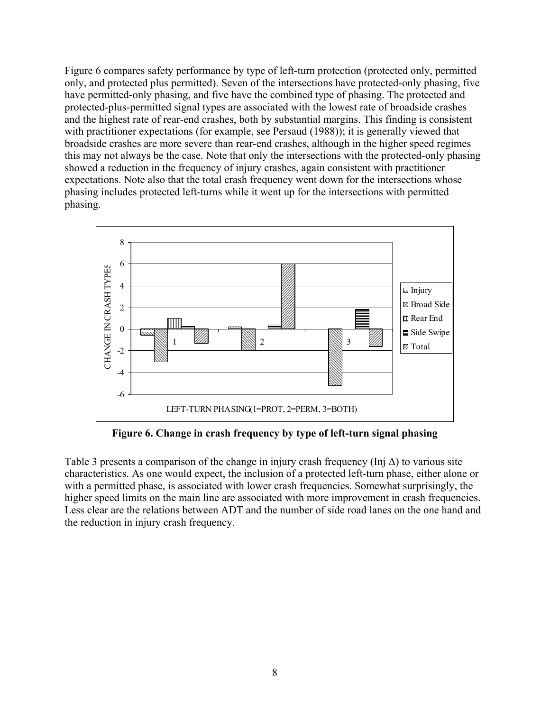<span id="page-19-0"></span>Figure 6 compares safety performance by type of left-turn protection (protected only, permitted only, and protected plus permitted). Seven of the intersections have protected-only phasing, five have permitted-only phasing, and five have the combined type of phasing. The protected and protected-plus-permitted signal types are associated with the lowest rate of broadside crashes and the highest rate of rear-end crashes, both by substantial margins. This finding is consistent with practitioner expectations (for example, see Persaud (1988)); it is generally viewed that broadside crashes are more severe than rear-end crashes, although in the higher speed regimes this may not always be the case. Note that only the intersections with the protected-only phasing showed a reduction in the frequency of injury crashes, again consistent with practitioner expectations. Note also that the total crash frequency went down for the intersections whose phasing includes protected left-turns while it went up for the intersections with permitted phasing.



**Figure 6. Change in crash frequency by type of left-turn signal phasing** 

Table 3 presents a comparison of the change in injury crash frequency (Inj  $\Delta$ ) to various site characteristics. As one would expect, the inclusion of a protected left-turn phase, either alone or with a permitted phase, is associated with lower crash frequencies. Somewhat surprisingly, the higher speed limits on the main line are associated with more improvement in crash frequencies. Less clear are the relations between ADT and the number of side road lanes on the one hand and the reduction in injury crash frequency.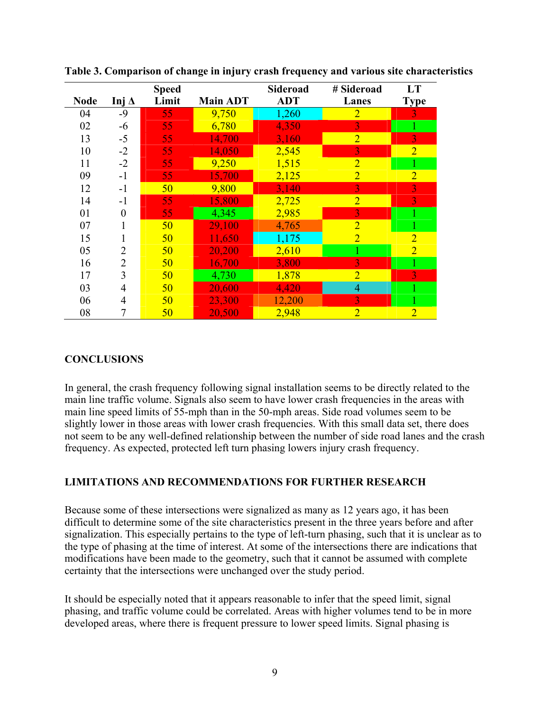|             |                | <b>Speed</b> |                 | Sideroad   | # Sideroad     | LT             |
|-------------|----------------|--------------|-----------------|------------|----------------|----------------|
| <b>Node</b> | Inj $\Delta$   | Limit        | <b>Main ADT</b> | <b>ADT</b> | Lanes          | <b>Type</b>    |
| 04          | $-9$           | 55           | 9,750           | 1,260      | $\overline{2}$ | $\overline{3}$ |
| 02          | $-6$           | 55           | 6,780           | 4,350      | 3              |                |
| 13          | $-5$           | 55           | 14,700          | 3,160      | $\overline{2}$ | 3              |
| 10          | $-2$           | 55           | 14,050          | 2,545      | $\overline{3}$ | $\overline{2}$ |
| 11          | $-2$           | 55           | 9,250           | 1,515      | $\overline{2}$ |                |
| 09          | $-1$           | 55           | 15,700          | 2,125      | $\overline{2}$ | $\overline{2}$ |
| 12          | $-1$           | 50           | 9,800           | 3,140      | $\overline{3}$ | $\overline{3}$ |
| 14          | $-1$           | 55           | 15,800          | 2,725      | $\overline{2}$ | 3              |
| 01          | 0              | 55           | 4,345           | 2,985      | 3              |                |
| 07          |                | 50           | 29,100          | 4,765      | $\overline{2}$ |                |
| 15          |                | 50           | 11,650          | 1,175      | $\overline{2}$ | $\overline{2}$ |
| 05          | 2              | 50           | 20,200          | 2,610      |                | $\overline{2}$ |
| 16          | $\overline{2}$ | 50           | 16,700          | 3,800      | 3              |                |
| 17          | 3              | 50           | 4,730           | 1,878      | $\overline{2}$ | 3              |
| 03          | 4              | 50           | 20,600          | 4,420      | $\overline{4}$ |                |
| 06          | 4              | 50           | 23,300          | 12,200     | 3              |                |
| 08          | 7              | 50           | 20,500          | 2,948      | $\overline{2}$ | $\overline{2}$ |

<span id="page-20-0"></span>**Table 3. Comparison of change in injury crash frequency and various site characteristics** 

#### **CONCLUSIONS**

In general, the crash frequency following signal installation seems to be directly related to the main line traffic volume. Signals also seem to have lower crash frequencies in the areas with main line speed limits of 55-mph than in the 50-mph areas. Side road volumes seem to be slightly lower in those areas with lower crash frequencies. With this small data set, there does not seem to be any well-defined relationship between the number of side road lanes and the crash frequency. As expected, protected left turn phasing lowers injury crash frequency.

#### **LIMITATIONS AND RECOMMENDATIONS FOR FURTHER RESEARCH**

Because some of these intersections were signalized as many as 12 years ago, it has been difficult to determine some of the site characteristics present in the three years before and after signalization. This especially pertains to the type of left-turn phasing, such that it is unclear as to the type of phasing at the time of interest. At some of the intersections there are indications that modifications have been made to the geometry, such that it cannot be assumed with complete certainty that the intersections were unchanged over the study period.

It should be especially noted that it appears reasonable to infer that the speed limit, signal phasing, and traffic volume could be correlated. Areas with higher volumes tend to be in more developed areas, where there is frequent pressure to lower speed limits. Signal phasing is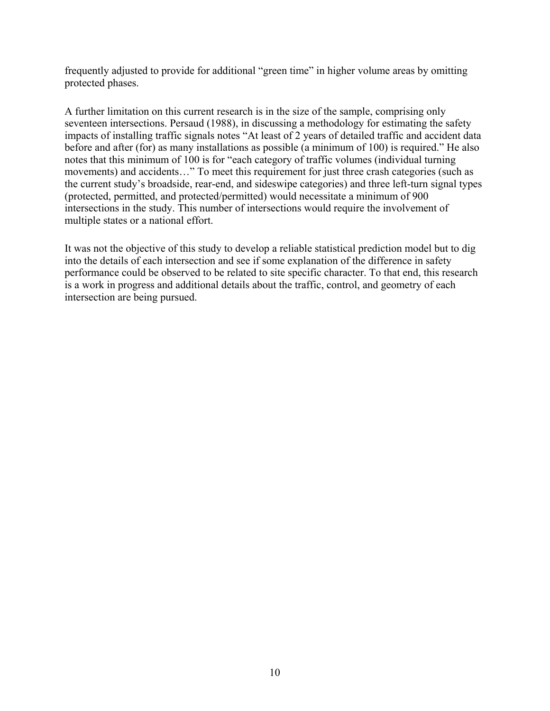frequently adjusted to provide for additional "green time" in higher volume areas by omitting protected phases.

A further limitation on this current research is in the size of the sample, comprising only seventeen intersections. Persaud (1988), in discussing a methodology for estimating the safety impacts of installing traffic signals notes "At least of 2 years of detailed traffic and accident data before and after (for) as many installations as possible (a minimum of 100) is required." He also notes that this minimum of 100 is for "each category of traffic volumes (individual turning movements) and accidents…" To meet this requirement for just three crash categories (such as the current study's broadside, rear-end, and sideswipe categories) and three left-turn signal types (protected, permitted, and protected/permitted) would necessitate a minimum of 900 intersections in the study. This number of intersections would require the involvement of multiple states or a national effort.

It was not the objective of this study to develop a reliable statistical prediction model but to dig into the details of each intersection and see if some explanation of the difference in safety performance could be observed to be related to site specific character. To that end, this research is a work in progress and additional details about the traffic, control, and geometry of each intersection are being pursued.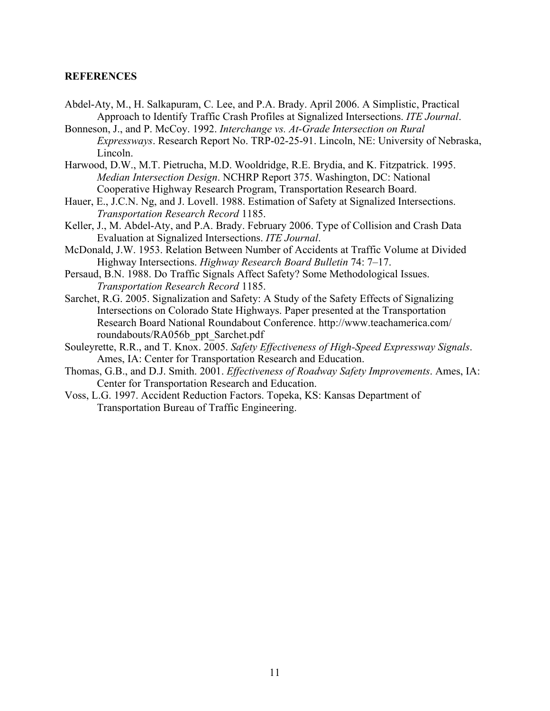#### <span id="page-22-0"></span>**REFERENCES**

- Abdel-Aty, M., H. Salkapuram, C. Lee, and P.A. Brady. April 2006. A Simplistic, Practical Approach to Identify Traffic Crash Profiles at Signalized Intersections. *ITE Journal*.
- Bonneson, J., and P. McCoy. 1992. *Interchange vs. At-Grade Intersection on Rural Expressways*. Research Report No. TRP-02-25-91. Lincoln, NE: University of Nebraska, Lincoln.
- Harwood, D.W., M.T. Pietrucha, M.D. Wooldridge, R.E. Brydia, and K. Fitzpatrick. 1995. *Median Intersection Design*. NCHRP Report 375. Washington, DC: National Cooperative Highway Research Program, Transportation Research Board.
- Hauer, E., J.C.N. Ng, and J. Lovell. 1988. Estimation of Safety at Signalized Intersections. *Transportation Research Record* 1185.
- Keller, J., M. Abdel-Aty, and P.A. Brady. February 2006. Type of Collision and Crash Data Evaluation at Signalized Intersections. *ITE Journal*.
- McDonald, J.W. 1953. Relation Between Number of Accidents at Traffic Volume at Divided Highway Intersections. *Highway Research Board Bulletin* 74: 7–17.
- Persaud, B.N. 1988. Do Traffic Signals Affect Safety? Some Methodological Issues. *Transportation Research Record* 1185.
- Sarchet, R.G. 2005. Signalization and Safety: A Study of the Safety Effects of Signalizing Intersections on Colorado State Highways. Paper presented at the Transportation Research Board National Roundabout Conference. http://www.teachamerica.com/ roundabouts/RA056b\_ppt\_Sarchet.pdf
- Souleyrette, R.R., and T. Knox. 2005. *Safety Effectiveness of High-Speed Expressway Signals*. Ames, IA: Center for Transportation Research and Education.
- Thomas, G.B., and D.J. Smith. 2001. *Effectiveness of Roadway Safety Improvements*. Ames, IA: Center for Transportation Research and Education.
- Voss, L.G. 1997. Accident Reduction Factors. Topeka, KS: Kansas Department of Transportation Bureau of Traffic Engineering.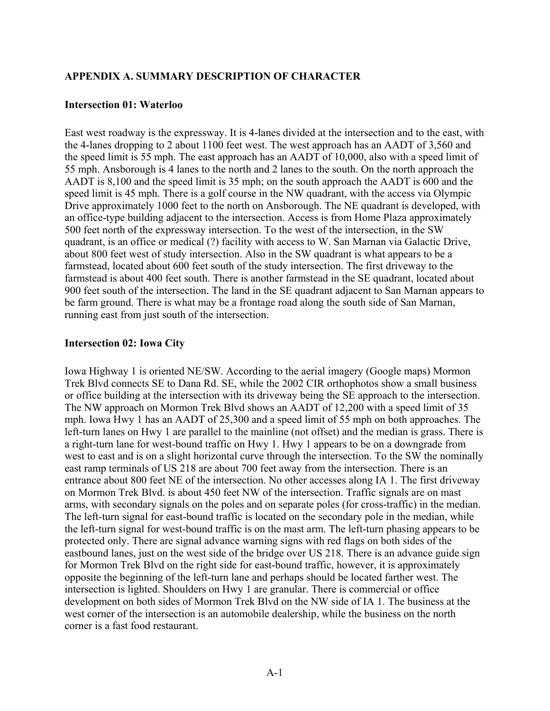#### <span id="page-24-0"></span>**APPENDIX A. SUMMARY DESCRIPTION OF CHARACTER**

#### **Intersection 01: Waterloo**

East west roadway is the expressway. It is 4-lanes divided at the intersection and to the east, with the 4-lanes dropping to 2 about 1100 feet west. The west approach has an AADT of 3,560 and the speed limit is 55 mph. The east approach has an AADT of 10,000, also with a speed limit of 55 mph. Ansborough is 4 lanes to the north and 2 lanes to the south. On the north approach the AADT is 8,100 and the speed limit is 35 mph; on the south approach the AADT is 600 and the speed limit is 45 mph. There is a golf course in the NW quadrant, with the access via Olympic Drive approximately 1000 feet to the north on Ansborough. The NE quadrant is developed, with an office-type building adjacent to the intersection. Access is from Home Plaza approximately 500 feet north of the expressway intersection. To the west of the intersection, in the SW quadrant, is an office or medical (?) facility with access to W. San Marnan via Galactic Drive, about 800 feet west of study intersection. Also in the SW quadrant is what appears to be a farmstead, located about 600 feet south of the study intersection. The first driveway to the farmstead is about 400 feet south. There is another farmstead in the SE quadrant, located about 900 feet south of the intersection. The land in the SE quadrant adjacent to San Marnan appears to be farm ground. There is what may be a frontage road along the south side of San Marnan, running east from just south of the intersection.

#### **Intersection 02: Iowa City**

Iowa Highway 1 is oriented NE/SW. According to the aerial imagery (Google maps) Mormon Trek Blvd connects SE to Dana Rd. SE, while the 2002 CIR orthophotos show a small business or office building at the intersection with its driveway being the SE approach to the intersection. The NW approach on Mormon Trek Blvd shows an AADT of 12,200 with a speed limit of 35 mph. Iowa Hwy 1 has an AADT of 25,300 and a speed limit of 55 mph on both approaches. The left-turn lanes on Hwy 1 are parallel to the mainline (not offset) and the median is grass. There is a right-turn lane for west-bound traffic on Hwy 1. Hwy 1 appears to be on a downgrade from west to east and is on a slight horizontal curve through the intersection. To the SW the nominally east ramp terminals of US 218 are about 700 feet away from the intersection. There is an entrance about 800 feet NE of the intersection. No other accesses along IA 1. The first driveway on Mormon Trek Blvd. is about 450 feet NW of the intersection. Traffic signals are on mast arms, with secondary signals on the poles and on separate poles (for cross-traffic) in the median. The left-turn signal for east-bound traffic is located on the secondary pole in the median, while the left-turn signal for west-bound traffic is on the mast arm. The left-turn phasing appears to be protected only. There are signal advance warning signs with red flags on both sides of the eastbound lanes, just on the west side of the bridge over US 218. There is an advance guide sign for Mormon Trek Blvd on the right side for east-bound traffic, however, it is approximately opposite the beginning of the left-turn lane and perhaps should be located farther west. The intersection is lighted. Shoulders on Hwy 1 are granular. There is commercial or office development on both sides of Mormon Trek Blvd on the NW side of IA 1. The business at the west corner of the intersection is an automobile dealership, while the business on the north corner is a fast food restaurant.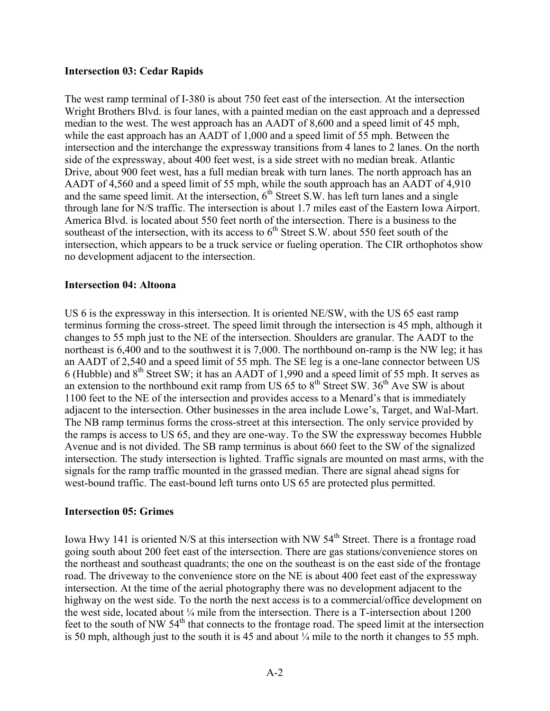#### **Intersection 03: Cedar Rapids**

The west ramp terminal of I-380 is about 750 feet east of the intersection. At the intersection Wright Brothers Blvd. is four lanes, with a painted median on the east approach and a depressed median to the west. The west approach has an AADT of 8,600 and a speed limit of 45 mph, while the east approach has an AADT of 1,000 and a speed limit of 55 mph. Between the intersection and the interchange the expressway transitions from 4 lanes to 2 lanes. On the north side of the expressway, about 400 feet west, is a side street with no median break. Atlantic Drive, about 900 feet west, has a full median break with turn lanes. The north approach has an AADT of 4,560 and a speed limit of 55 mph, while the south approach has an AADT of 4,910 and the same speed limit. At the intersection,  $6<sup>th</sup>$  Street S.W. has left turn lanes and a single through lane for N/S traffic. The intersection is about 1.7 miles east of the Eastern Iowa Airport. America Blvd. is located about 550 feet north of the intersection. There is a business to the southeast of the intersection, with its access to  $6<sup>th</sup>$  Street S.W. about 550 feet south of the intersection, which appears to be a truck service or fueling operation. The CIR orthophotos show no development adjacent to the intersection.

#### **Intersection 04: Altoona**

US 6 is the expressway in this intersection. It is oriented NE/SW, with the US 65 east ramp terminus forming the cross-street. The speed limit through the intersection is 45 mph, although it changes to 55 mph just to the NE of the intersection. Shoulders are granular. The AADT to the northeast is 6,400 and to the southwest it is 7,000. The northbound on-ramp is the NW leg; it has an AADT of 2,540 and a speed limit of 55 mph. The SE leg is a one-lane connector between US 6 (Hubble) and 8th Street SW; it has an AADT of 1,990 and a speed limit of 55 mph. It serves as an extension to the northbound exit ramp from US  $65$  to  $8<sup>th</sup>$  Street SW.  $36<sup>th</sup>$  Ave SW is about 1100 feet to the NE of the intersection and provides access to a Menard's that is immediately adjacent to the intersection. Other businesses in the area include Lowe's, Target, and Wal-Mart. The NB ramp terminus forms the cross-street at this intersection. The only service provided by the ramps is access to US 65, and they are one-way. To the SW the expressway becomes Hubble Avenue and is not divided. The SB ramp terminus is about 660 feet to the SW of the signalized intersection. The study intersection is lighted. Traffic signals are mounted on mast arms, with the signals for the ramp traffic mounted in the grassed median. There are signal ahead signs for west-bound traffic. The east-bound left turns onto US 65 are protected plus permitted.

#### **Intersection 05: Grimes**

Iowa Hwy 141 is oriented N/S at this intersection with NW 54<sup>th</sup> Street. There is a frontage road going south about 200 feet east of the intersection. There are gas stations/convenience stores on the northeast and southeast quadrants; the one on the southeast is on the east side of the frontage road. The driveway to the convenience store on the NE is about 400 feet east of the expressway intersection. At the time of the aerial photography there was no development adjacent to the highway on the west side. To the north the next access is to a commercial/office development on the west side, located about ¼ mile from the intersection. There is a T-intersection about 1200 feet to the south of NW 54<sup>th</sup> that connects to the frontage road. The speed limit at the intersection is 50 mph, although just to the south it is 45 and about ¼ mile to the north it changes to 55 mph.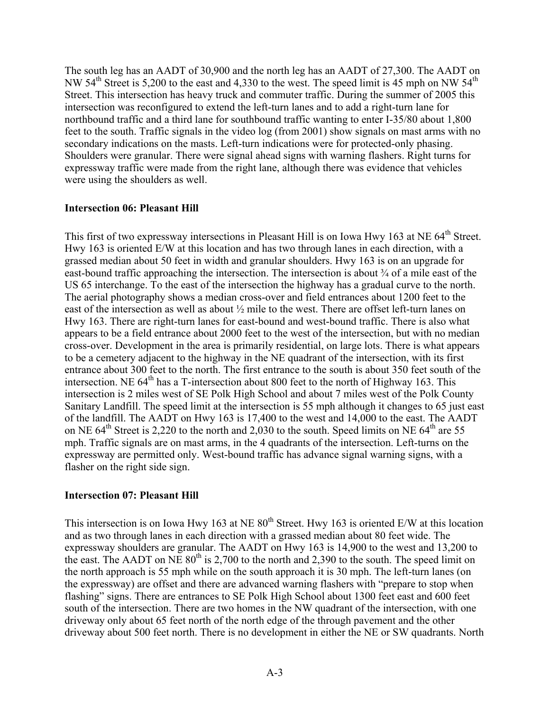The south leg has an AADT of 30,900 and the north leg has an AADT of 27,300. The AADT on NW 54<sup>th</sup> Street is 5,200 to the east and 4,330 to the west. The speed limit is 45 mph on NW 54<sup>th</sup> Street. This intersection has heavy truck and commuter traffic. During the summer of 2005 this intersection was reconfigured to extend the left-turn lanes and to add a right-turn lane for northbound traffic and a third lane for southbound traffic wanting to enter I-35/80 about 1,800 feet to the south. Traffic signals in the video log (from 2001) show signals on mast arms with no secondary indications on the masts. Left-turn indications were for protected-only phasing. Shoulders were granular. There were signal ahead signs with warning flashers. Right turns for expressway traffic were made from the right lane, although there was evidence that vehicles were using the shoulders as well.

#### **Intersection 06: Pleasant Hill**

This first of two expressway intersections in Pleasant Hill is on Iowa Hwy 163 at NE 64<sup>th</sup> Street. Hwy 163 is oriented E/W at this location and has two through lanes in each direction, with a grassed median about 50 feet in width and granular shoulders. Hwy 163 is on an upgrade for east-bound traffic approaching the intersection. The intersection is about ¾ of a mile east of the US 65 interchange. To the east of the intersection the highway has a gradual curve to the north. The aerial photography shows a median cross-over and field entrances about 1200 feet to the east of the intersection as well as about  $\frac{1}{2}$  mile to the west. There are offset left-turn lanes on Hwy 163. There are right-turn lanes for east-bound and west-bound traffic. There is also what appears to be a field entrance about 2000 feet to the west of the intersection, but with no median cross-over. Development in the area is primarily residential, on large lots. There is what appears to be a cemetery adjacent to the highway in the NE quadrant of the intersection, with its first entrance about 300 feet to the north. The first entrance to the south is about 350 feet south of the intersection. NE  $64<sup>th</sup>$  has a T-intersection about 800 feet to the north of Highway 163. This intersection is 2 miles west of SE Polk High School and about 7 miles west of the Polk County Sanitary Landfill. The speed limit at the intersection is 55 mph although it changes to 65 just east of the landfill. The AADT on Hwy 163 is 17,400 to the west and 14,000 to the east. The AADT on NE  $64^{\text{th}}$  Street is 2,220 to the north and 2,030 to the south. Speed limits on NE  $64^{\text{th}}$  are 55 mph. Traffic signals are on mast arms, in the 4 quadrants of the intersection. Left-turns on the expressway are permitted only. West-bound traffic has advance signal warning signs, with a flasher on the right side sign.

#### **Intersection 07: Pleasant Hill**

This intersection is on Iowa Hwy 163 at NE  $80^{th}$  Street. Hwy 163 is oriented E/W at this location and as two through lanes in each direction with a grassed median about 80 feet wide. The expressway shoulders are granular. The AADT on Hwy 163 is 14,900 to the west and 13,200 to the east. The AADT on NE  $80^{th}$  is 2,700 to the north and 2,390 to the south. The speed limit on the north approach is 55 mph while on the south approach it is 30 mph. The left-turn lanes (on the expressway) are offset and there are advanced warning flashers with "prepare to stop when flashing" signs. There are entrances to SE Polk High School about 1300 feet east and 600 feet south of the intersection. There are two homes in the NW quadrant of the intersection, with one driveway only about 65 feet north of the north edge of the through pavement and the other driveway about 500 feet north. There is no development in either the NE or SW quadrants. North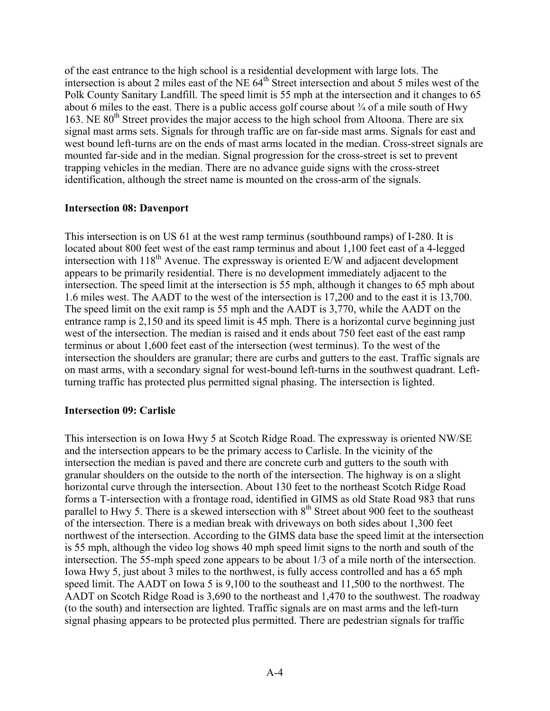of the east entrance to the high school is a residential development with large lots. The intersection is about 2 miles east of the NE  $64<sup>th</sup>$  Street intersection and about 5 miles west of the Polk County Sanitary Landfill. The speed limit is 55 mph at the intersection and it changes to 65 about 6 miles to the east. There is a public access golf course about  $\frac{3}{4}$  of a mile south of Hwy 163. NE 80<sup>th</sup> Street provides the major access to the high school from Altoona. There are six signal mast arms sets. Signals for through traffic are on far-side mast arms. Signals for east and west bound left-turns are on the ends of mast arms located in the median. Cross-street signals are mounted far-side and in the median. Signal progression for the cross-street is set to prevent trapping vehicles in the median. There are no advance guide signs with the cross-street identification, although the street name is mounted on the cross-arm of the signals.

#### **Intersection 08: Davenport**

This intersection is on US 61 at the west ramp terminus (southbound ramps) of I-280. It is located about 800 feet west of the east ramp terminus and about 1,100 feet east of a 4-legged intersection with  $118<sup>th</sup>$  Avenue. The expressway is oriented E/W and adjacent development appears to be primarily residential. There is no development immediately adjacent to the intersection. The speed limit at the intersection is 55 mph, although it changes to 65 mph about 1.6 miles west. The AADT to the west of the intersection is 17,200 and to the east it is 13,700. The speed limit on the exit ramp is 55 mph and the AADT is 3,770, while the AADT on the entrance ramp is 2,150 and its speed limit is 45 mph. There is a horizontal curve beginning just west of the intersection. The median is raised and it ends about 750 feet east of the east ramp terminus or about 1,600 feet east of the intersection (west terminus). To the west of the intersection the shoulders are granular; there are curbs and gutters to the east. Traffic signals are on mast arms, with a secondary signal for west-bound left-turns in the southwest quadrant. Leftturning traffic has protected plus permitted signal phasing. The intersection is lighted.

#### **Intersection 09: Carlisle**

This intersection is on Iowa Hwy 5 at Scotch Ridge Road. The expressway is oriented NW/SE and the intersection appears to be the primary access to Carlisle. In the vicinity of the intersection the median is paved and there are concrete curb and gutters to the south with granular shoulders on the outside to the north of the intersection. The highway is on a slight horizontal curve through the intersection. About 130 feet to the northeast Scotch Ridge Road forms a T-intersection with a frontage road, identified in GIMS as old State Road 983 that runs parallel to Hwy 5. There is a skewed intersection with 8<sup>th</sup> Street about 900 feet to the southeast of the intersection. There is a median break with driveways on both sides about 1,300 feet northwest of the intersection. According to the GIMS data base the speed limit at the intersection is 55 mph, although the video log shows 40 mph speed limit signs to the north and south of the intersection. The 55-mph speed zone appears to be about 1/3 of a mile north of the intersection. Iowa Hwy 5, just about 3 miles to the northwest, is fully access controlled and has a 65 mph speed limit. The AADT on Iowa 5 is 9,100 to the southeast and 11,500 to the northwest. The AADT on Scotch Ridge Road is 3,690 to the northeast and 1,470 to the southwest. The roadway (to the south) and intersection are lighted. Traffic signals are on mast arms and the left-turn signal phasing appears to be protected plus permitted. There are pedestrian signals for traffic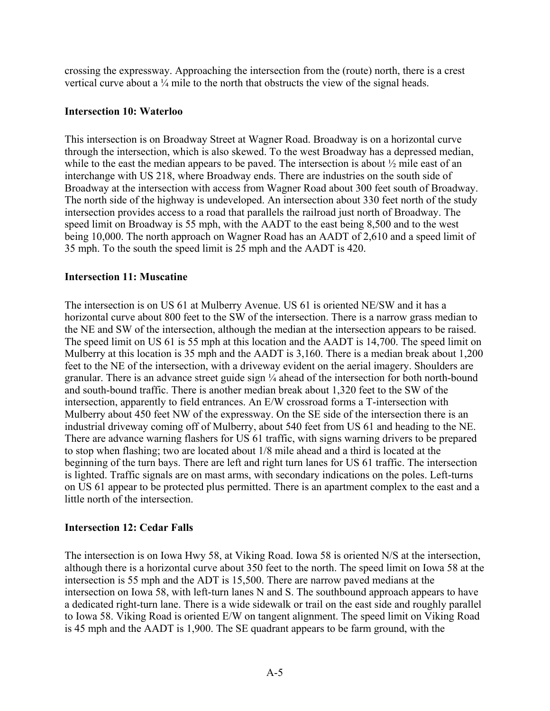crossing the expressway. Approaching the intersection from the (route) north, there is a crest vertical curve about a ¼ mile to the north that obstructs the view of the signal heads.

#### **Intersection 10: Waterloo**

This intersection is on Broadway Street at Wagner Road. Broadway is on a horizontal curve through the intersection, which is also skewed. To the west Broadway has a depressed median, while to the east the median appears to be paved. The intersection is about  $\frac{1}{2}$  mile east of an interchange with US 218, where Broadway ends. There are industries on the south side of Broadway at the intersection with access from Wagner Road about 300 feet south of Broadway. The north side of the highway is undeveloped. An intersection about 330 feet north of the study intersection provides access to a road that parallels the railroad just north of Broadway. The speed limit on Broadway is 55 mph, with the AADT to the east being 8,500 and to the west being 10,000. The north approach on Wagner Road has an AADT of 2,610 and a speed limit of 35 mph. To the south the speed limit is 25 mph and the AADT is 420.

#### **Intersection 11: Muscatine**

The intersection is on US 61 at Mulberry Avenue. US 61 is oriented NE/SW and it has a horizontal curve about 800 feet to the SW of the intersection. There is a narrow grass median to the NE and SW of the intersection, although the median at the intersection appears to be raised. The speed limit on US 61 is 55 mph at this location and the AADT is 14,700. The speed limit on Mulberry at this location is 35 mph and the AADT is 3,160. There is a median break about 1,200 feet to the NE of the intersection, with a driveway evident on the aerial imagery. Shoulders are granular. There is an advance street guide sign ¼ ahead of the intersection for both north-bound and south-bound traffic. There is another median break about 1,320 feet to the SW of the intersection, apparently to field entrances. An E/W crossroad forms a T-intersection with Mulberry about 450 feet NW of the expressway. On the SE side of the intersection there is an industrial driveway coming off of Mulberry, about 540 feet from US 61 and heading to the NE. There are advance warning flashers for US 61 traffic, with signs warning drivers to be prepared to stop when flashing; two are located about 1/8 mile ahead and a third is located at the beginning of the turn bays. There are left and right turn lanes for US 61 traffic. The intersection is lighted. Traffic signals are on mast arms, with secondary indications on the poles. Left-turns on US 61 appear to be protected plus permitted. There is an apartment complex to the east and a little north of the intersection.

#### **Intersection 12: Cedar Falls**

The intersection is on Iowa Hwy 58, at Viking Road. Iowa 58 is oriented N/S at the intersection, although there is a horizontal curve about 350 feet to the north. The speed limit on Iowa 58 at the intersection is 55 mph and the ADT is 15,500. There are narrow paved medians at the intersection on Iowa 58, with left-turn lanes N and S. The southbound approach appears to have a dedicated right-turn lane. There is a wide sidewalk or trail on the east side and roughly parallel to Iowa 58. Viking Road is oriented E/W on tangent alignment. The speed limit on Viking Road is 45 mph and the AADT is 1,900. The SE quadrant appears to be farm ground, with the